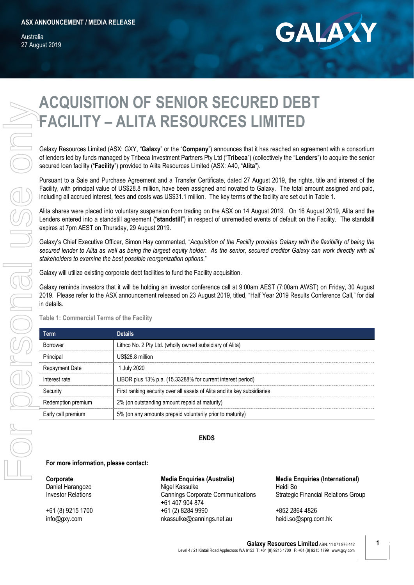Australia 27 August 2019



# **ACQUISITION OF SENIOR SECURED DEBT FACILITY – ALITA RESOURCES LIMITED**

Galaxy Resources Limited (ASX: GXY, "**Galaxy**" or the "**Company**") announces that it has reached an agreement with a consortium of lenders led by funds managed by Tribeca Investment Partners Pty Ltd ("**Tribeca**") (collectively the "**Lenders**") to acquire the senior secured loan facility ("**Facility**") provided to Alita Resources Limited (ASX: A40, "**Alita**").

Pursuant to a Sale and Purchase Agreement and a Transfer Certificate, dated 27 August 2019, the rights, title and interest of the Facility, with principal value of US\$28.8 million, have been assigned and novated to Galaxy. The total amount assigned and paid, including all accrued interest, fees and costs was US\$31.1 million. The key terms of the facility are set out in Table 1.

Alita shares were placed into voluntary suspension from trading on the ASX on 14 August 2019. On 16 August 2019, Alita and the Lenders entered into a standstill agreement ("**standstill**") in respect of unremedied events of default on the Facility. The standstill expires at 7pm AEST on Thursday, 29 August 2019.

Galaxy's Chief Executive Officer, Simon Hay commented, "*Acquisition of the Facility provides Galaxy with the flexibility of being the secured lender to Alita as well as being the largest equity holder. As the senior, secured creditor Galaxy can work directly with all stakeholders to examine the best possible reorganization options*."

Galaxy will utilize existing corporate debt facilities to fund the Facility acquisition.

Galaxy reminds investors that it will be holding an investor conference call at 9:00am AEST (7:00am AWST) on Friday, 30 August 2019. Please refer to the ASX announcement released on 23 August 2019, titled, "Half Year 2019 Results Conference Call," for dial in details.

### **Table 1: Commercial Terms of the Facility**

| erm                |                                                                          |
|--------------------|--------------------------------------------------------------------------|
| <b>Korrower</b>    | Lithco No. 2 Pty Ltd. (wholly owned subsidiary of Alita)                 |
|                    |                                                                          |
| Principal          | JS\$28.8 million                                                         |
|                    |                                                                          |
| Repayment Date     | ' July 2020                                                              |
|                    |                                                                          |
| Interest rate      | LIBOR plus 13% p.a. (15.33288% for current interest period)              |
|                    | First ranking security over all assets of Alita and its key subsidiaries |
|                    |                                                                          |
| Redemption premium | 2% (on outstanding amount repaid at maturity)                            |
|                    | 5% (on any amounts prepaid voluntarily prior to maturity)                |

**ENDS**

#### **For more information, please contact:**

**Corporate** Daniel Harangozo Investor Relations

+61 (8) 9215 1700 info@gxy.com

### **Media Enquiries (Australia)**

Nigel Kassulke Cannings Corporate Communications +61 407 904 874 +61 (2) 8284 9990 [nkassulke@cannings.net.au](mailto:nkassulke@cannings.net.au)

**Media Enquiries (International)** Heidi So Strategic Financial Relations Group

+852 2864 4826 [heidi.so@sprg.com.hk](mailto:Heidi.so@sprg.com.hk)

**Galaxy Resources Limited** ABN: 11 071 976 442 Level 4 / 21 Kintail Road Applecross WA 6153 T: +61 (8) 9215 1700 F: +61 (8) 9215 1799 www.gxy.com